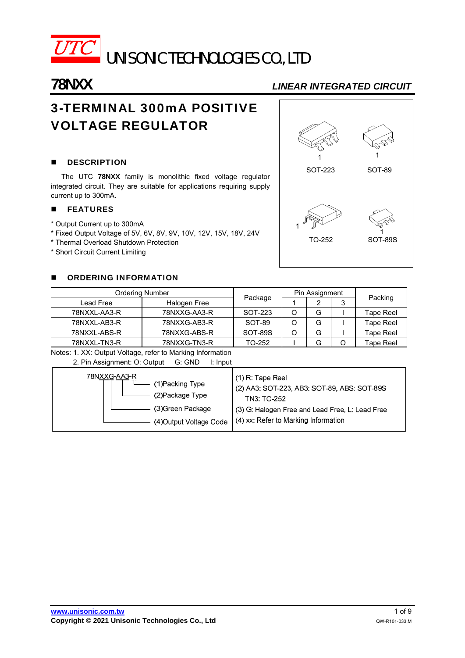

# **78NXX** *LINEAR INTEGRATED CIRCUIT*

# 3-TERMINAL 300mA POSITIVE VOLTAGE REGULATOR

# **DESCRIPTION**

The UTC **78NXX** family is monolithic fixed voltage regulator integrated circuit. They are suitable for applications requiring supply current up to 300mA.

### **FEATURES**

- \* Output Current up to 300mA
- \* Fixed Output Voltage of 5V, 6V, 8V, 9V, 10V, 12V, 15V, 18V, 24V
- \* Thermal Overload Shutdown Protection
- \* Short Circuit Current Limiting

# **DE ORDERING INFORMATION**

| <b>Ordering Number</b> |              | Pin Assignment |   |  |                  |
|------------------------|--------------|----------------|---|--|------------------|
| Lead Free              | Halogen Free | Package        |   |  | Packing          |
| 78NXXL-AA3-R           | 78NXXG-AA3-R | SOT-223        | G |  | Tape Reel        |
| 78NXXL-AB3-R           | 78NXXG-AB3-R | SOT-89         | G |  | Tape Reel        |
| 78NXXL-ABS-R           | 78NXXG-ABS-R | SOT-89S        | G |  | Tape Reel        |
| 78NXXL-TN3-R           | 78NXXG-TN3-R | TO-252         | G |  | <b>Tape Reel</b> |

Notes: 1. XX: Output Voltage, refer to Marking Information 2. Pin Assignment: O: Output G: GND I: Input

| 78NXXG-AA3-R            | $(1)$ R: Tape Reel                              |
|-------------------------|-------------------------------------------------|
| (1)Packing Type         | (2) AA3: SOT-223, AB3: SOT-89, ABS: SOT-89S     |
| (2) Package Type        | TN3: TO-252                                     |
| (3) Green Package       | (3) G: Halogen Free and Lead Free, L: Lead Free |
| (4) Output Voltage Code | $(4)$ xx: Refer to Marking Information          |

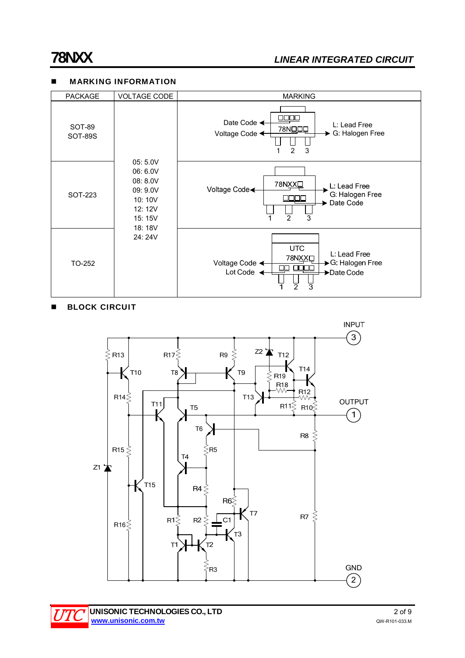# **MARKING INFORMATION**

| <b>PACKAGE</b>           | <b>VOLTAGE CODE</b>                                                                               | <b>MARKING</b>                                                                                                                    |                                                                                                           |
|--------------------------|---------------------------------------------------------------------------------------------------|-----------------------------------------------------------------------------------------------------------------------------------|-----------------------------------------------------------------------------------------------------------|
| SOT-89<br><b>SOT-89S</b> | 05: 5.0V<br>06: 6.0V<br>08: 8.0V<br>09: 9.0V<br>10:10V<br>12: 12V<br>15: 15V<br>18:18V<br>24: 24V | <u>000</u> 0<br>Date Code ←<br>L: Lead Free<br>78NOOD<br>G: Halogen Free<br>Voltage Code ←<br>$\overline{2}$<br>3                 |                                                                                                           |
| SOT-223                  |                                                                                                   |                                                                                                                                   | 78NXX <sup>I</sup><br>L: Lead Free<br>Voltage Code<br>G: Halogen Free<br>Date Code<br>$\overline{2}$<br>3 |
| TO-252                   |                                                                                                   | <b>UTC</b><br>L: Lead Free<br>78NXX <sub>D</sub><br>Voltage Code <<br>→ G: Halogen Free<br>00C<br>Lot Code<br>Date Code<br>2<br>3 |                                                                                                           |

# **BLOCK CIRCUIT**

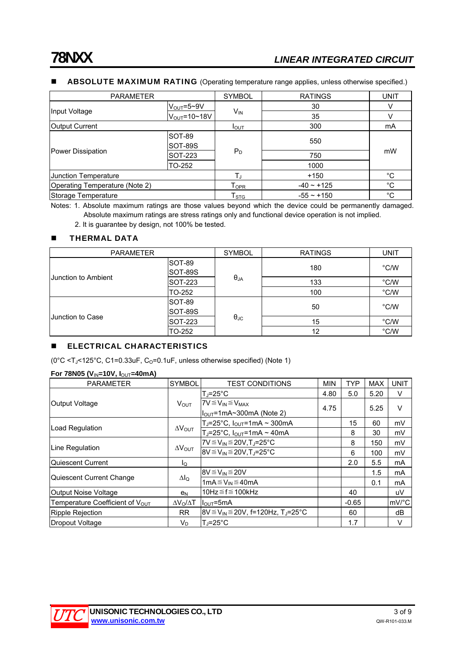### **ABSOLUTE MAXIMUM RATING** (Operating temperature range applies, unless otherwise specified.)

| <b>PARAMETER</b>                                                                                                    |                                                                                     | <b>SYMBOL</b>                                                                                                                                           | <b>RATINGS</b> | <b>UNIT</b> |  |
|---------------------------------------------------------------------------------------------------------------------|-------------------------------------------------------------------------------------|---------------------------------------------------------------------------------------------------------------------------------------------------------|----------------|-------------|--|
|                                                                                                                     |                                                                                     |                                                                                                                                                         | 30             | V           |  |
|                                                                                                                     |                                                                                     | $V_{IN}$<br>35<br>300<br>I <sub>OUT</sub><br>550<br>$P_D$<br>750<br>1000<br>$+150$<br>$-40 \sim +125$<br>$\mathsf{T}_{\mathsf{OPR}}$<br>$-55 \sim +150$ | v              |             |  |
| Output Current                                                                                                      |                                                                                     |                                                                                                                                                         |                | mA          |  |
| Input Voltage<br>Power Dissipation<br>Junction Temperature<br>Operating Temperature (Note 2)<br>Storage Temperature | SOT-89<br><b>SOT-89S</b>                                                            |                                                                                                                                                         |                |             |  |
|                                                                                                                     | SOT-223                                                                             |                                                                                                                                                         |                | mW          |  |
|                                                                                                                     | $V_{\text{OUT}} = 5 - 9V$<br>$V_{OUT} = 10~18V$<br>TO-252<br>${\sf T}_{\text{STG}}$ |                                                                                                                                                         |                |             |  |
|                                                                                                                     |                                                                                     |                                                                                                                                                         |                | °C          |  |
|                                                                                                                     |                                                                                     |                                                                                                                                                         |                | $^{\circ}C$ |  |
|                                                                                                                     |                                                                                     |                                                                                                                                                         |                | $^{\circ}C$ |  |

Notes: 1. Absolute maximum ratings are those values beyond which the device could be permanently damaged. Absolute maximum ratings are stress ratings only and functional device operation is not implied.

2. It is guarantee by design, not 100% be tested.

# **THERMAL DATA**

| PARAMETER        |                                       | <b>SYMBOL</b>                                     | <b>RATINGS</b> | UNIT |
|------------------|---------------------------------------|---------------------------------------------------|----------------|------|
|                  | <b>SOT-89</b><br>SOT-89S              |                                                   | 180            | °C/W |
|                  | <b>Uunction to Ambient</b><br>SOT-223 |                                                   | 133            | °C/W |
|                  | TO-252                                |                                                   | 100            | °C/W |
|                  | <b>SOT-89</b><br>SOT-89S              |                                                   | 50             | °C/W |
| Junction to Case | SOT-223                               | $\theta_{JA}$<br>$\theta_{\text{JC}}$<br>15<br>12 | °C/W           |      |
|                  | TO-252                                |                                                   |                | °C/W |

### **ELECTRICAL CHARACTERISTICS**

( $0^{\circ}$ C <T<sub>J</sub><125 $^{\circ}$ C, C1=0.33uF, C<sub>0</sub>=0.1uF, unless otherwise specified) (Note 1)

#### **For 78N05 (V**IN**=10V, I**OUT**=40mA)**

| <b>PARAMETER</b>                            | SYMBOL                  | <b>TEST CONDITIONS</b>                                           | <b>MIN</b> | <b>TYP</b> | <b>MAX</b>                                          | <b>UNIT</b> |
|---------------------------------------------|-------------------------|------------------------------------------------------------------|------------|------------|-----------------------------------------------------|-------------|
| Output Voltage                              |                         | $T_{J} = 25^{\circ}C$                                            | 4.80       | 5.0        | 5.20                                                | V           |
|                                             | $V_{OUT}$               | $7V \leq V_{IN} \leq V_{MAX}$                                    | 4.75       |            |                                                     | $\vee$      |
|                                             |                         | $I_{\text{OUT}}$ =1mA~300mA (Note 2)                             |            |            | 5.25<br>60<br>30<br>150<br>100<br>5.5<br>1.5<br>0.1 |             |
|                                             | $\Delta V_{\text{OUT}}$ | $T_J = 25^{\circ}C$ , $I_{OUT} = 1 \text{mA} \sim 300 \text{mA}$ |            | 15         |                                                     | mV          |
| Load Regulation                             |                         | $T_J = 25^{\circ}C$ , $I_{OUT} = 1mA \sim 40mA$                  |            | 8          |                                                     | mV          |
|                                             | $\Delta V_{\text{OUT}}$ | $7V \leq V_{IN} \leq 20V$ , T <sub>J</sub> =25°C                 |            | 8          |                                                     | mV          |
| Line Regulation                             |                         | $8V \le V_{IN} \le 20V$ , T <sub>J</sub> =25°C                   |            | 6          |                                                     | mV          |
| Quiescent Current                           | lQ                      |                                                                  |            | 2.0        |                                                     | mA          |
|                                             |                         | $8V \leq V_{IN} \leq 20V$                                        |            |            |                                                     | mA          |
| Quiescent Current Change                    | $\Delta I_Q$            | 1m $A \leq V_{IN} \leq 40$ mA                                    |            |            |                                                     | mA          |
| Output Noise Voltage                        | e <sub>N</sub>          | 10Hz $\leq$ f $\leq$ 100kHz                                      |            | 40         |                                                     | uV          |
| Temperature Coefficient of V <sub>OUT</sub> | $\Delta V_O/\Delta T$   | $IOUT=5mA$                                                       |            | $-0.65$    |                                                     | mV/°C       |
| Ripple Rejection                            | <b>RR</b>               | $8V \le V_{IN} \le 20V$ , f=120Hz, T <sub>J</sub> =25°C          |            | 60         |                                                     | dB          |
| Dropout Voltage                             | V <sub>D</sub>          | $T_i = 25^{\circ}C$                                              |            | 1.7        |                                                     | V           |

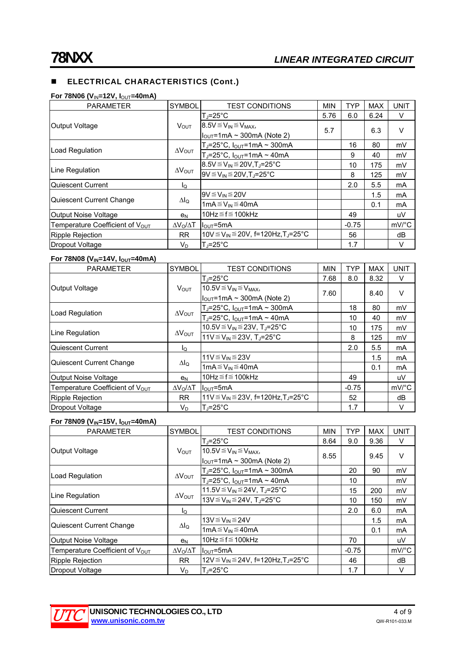# **ELECTRICAL CHARACTERISTICS (Cont.)**

#### **For 78N06 (V<sub>IN</sub>=12V, I<sub>OUT</sub>=40mA)**

| <b>PARAMETER</b>                            | <b>SYMBOL</b>           | <b>TEST CONDITIONS</b>                                     | <b>MIN</b> | <b>TYP</b> | <b>MAX</b>                                         | <b>UNIT</b>           |
|---------------------------------------------|-------------------------|------------------------------------------------------------|------------|------------|----------------------------------------------------|-----------------------|
|                                             |                         | $T_{\rm J}$ =25°C                                          | 5.76       | 6.0        | 6.24                                               | V                     |
| Output Voltage                              | V <sub>OUT</sub>        | $8.5V \leq V_{IN} \leq V_{MAX}$                            | 5.7        |            |                                                    | $\vee$                |
|                                             |                         | $I_{\text{OUT}}$ =1mA ~ 300mA (Note 2)                     |            |            | 6.3<br>80<br>40<br>175<br>125<br>5.5<br>1.5<br>0.1 |                       |
|                                             |                         | $T_J = 25^{\circ}C$ , $I_{OUT} = 1mA \sim 300mA$           |            | 16         |                                                    | mV                    |
| Load Regulation                             | $\Delta V_{\text{OUT}}$ | T <sub>J</sub> =25°C, $I_{OUT}$ =1mA ~ 40mA                |            | 9          |                                                    | mV                    |
|                                             |                         | $8.5V \le V_{IN} \le 20V$ ,T <sub>J</sub> =25°C            |            | 10         |                                                    | mV                    |
|                                             | $\Delta V_{\text{OUT}}$ | $9V \leq V_{IN} \leq 20V$ . T. = 25°C                      |            | 8          |                                                    | mV                    |
| Quiescent Current                           | Ιo                      |                                                            |            | 2.0        |                                                    | mA                    |
|                                             |                         | $9V \leq V_{IN} \leq 20V$                                  |            |            |                                                    | mA                    |
| Line Regulation<br>Quiescent Current Change | $\Delta I_Q$            | 1mA $\leq$ V <sub>IN</sub> $\leq$ 40mA                     |            |            |                                                    | mA                    |
| <b>Output Noise Voltage</b>                 | e <sub>N</sub>          | 10Hz $\leq$ f $\leq$ 100kHz                                |            | 49         |                                                    | uV                    |
| Temperature Coefficient of V <sub>OUT</sub> | $\Delta V_O / \Delta T$ | $IOUT=5mA$                                                 |            | $-0.75$    |                                                    | $mV$ <sup>o</sup> $C$ |
| Ripple Rejection                            | RR.                     | 10V ≤ V <sub>IN</sub> ≤ 20V, f=120Hz, T <sub>J</sub> =25°C |            | 56         |                                                    | dB                    |
| Dropout Voltage                             | $V_D$                   | $T = 25^{\circ}C$                                          |            | 1.7        |                                                    | V                     |

#### **For 78N08 (V<sub>IN</sub>=14V, I<sub>OUT</sub>=40mA)**

| <b>PARAMETER</b>                            | <b>SYMBOL</b>           | <b>TEST CONDITIONS</b>                                               | <b>MIN</b> | <b>TYP</b>                                                                                                       | <b>MAX</b> | <b>UNIT</b>         |
|---------------------------------------------|-------------------------|----------------------------------------------------------------------|------------|------------------------------------------------------------------------------------------------------------------|------------|---------------------|
|                                             |                         | $T_i = 25^{\circ}C$                                                  | 7.68       | 8.0                                                                                                              | 8.32       | V                   |
| <b>Output Voltage</b>                       | <b>V</b> OUT            | $10.5V \leq V_{IN} \leq V_{MAX}$                                     |            |                                                                                                                  |            | $\vee$              |
|                                             |                         | $\vert$ l <sub>OUT</sub> =1mA ~ 300mA (Note 2)                       |            | 7.60<br>8.40<br>18<br>80<br>10<br>40<br>10<br>175<br>8<br>125<br>5.5<br>2.0<br>1.5<br>0.1<br>49<br>$-0.75$<br>52 |            |                     |
|                                             |                         | $T_J = 25^{\circ}C$ , $I_{OUT} = 1mA \sim 300mA$                     |            |                                                                                                                  |            | mV                  |
| Load Regulation                             | $\Delta V_{\text{OUT}}$ | $T_J = 25^{\circ}C$ , $I_{OUT} = 1mA \sim 40mA$                      |            |                                                                                                                  |            | mV                  |
|                                             |                         | 10.5V ≤ V <sub>IN</sub> ≤ 23V, T <sub>J</sub> =25°C                  |            |                                                                                                                  |            | mV                  |
| Line Regulation                             | $\Delta V_{\text{OUT}}$ | 11V $\leq$ V <sub>IN</sub> $\leq$ 23V, T <sub>J</sub> =25°C          |            |                                                                                                                  |            | mV                  |
| Quiescent Current                           | lo                      |                                                                      |            |                                                                                                                  |            | mA                  |
|                                             |                         | 11 $V \leq V_{IN} \leq 23V$                                          |            |                                                                                                                  |            | mA                  |
| Quiescent Current Change                    | $\Delta I_Q$            | 1m $A \leq V_{\text{IN}} \leq 40$ mA                                 |            |                                                                                                                  |            | mA                  |
| <b>Output Noise Voltage</b>                 | e <sub>N</sub>          | 10Hz $\leq$ f $\leq$ 100kHz                                          |            |                                                                                                                  |            | uV                  |
| Temperature Coefficient of V <sub>OUT</sub> | $\Delta V_O/\Delta T$   | $I_{\text{OUT}} = 5 \text{mA}$                                       |            |                                                                                                                  |            | $mV$ <sup>o</sup> C |
| <b>Ripple Rejection</b>                     | <b>RR</b>               | 11V $\leq$ V <sub>IN</sub> $\leq$ 23V, f=120Hz, T <sub>J</sub> =25°C |            |                                                                                                                  |            | dB                  |
| Dropout Voltage                             | V <sub>D</sub>          | $T_i = 25^{\circ}C$                                                  |            | 1.7                                                                                                              |            | V                   |

#### **For 78N09 (V<sub>IN</sub>=15V, I<sub>OUT</sub>=40mA)**

| <b>PARAMETER</b>                            | <b>SYMBOL</b>           | <b>TEST CONDITIONS</b>                                      | <b>MIN</b> | <b>TYP</b> | <b>MAX</b>                                    | <b>UNIT</b>           |
|---------------------------------------------|-------------------------|-------------------------------------------------------------|------------|------------|-----------------------------------------------|-----------------------|
| Output Voltage                              |                         | $T = 25^{\circ}C$                                           | 8.64       | 9.0        | 9.36                                          | V                     |
|                                             | $V_{OUT}$               | $10.5V \leq V_{IN} \leq V_{MAX}$                            | 8.55       |            | 9.45<br>90<br>200<br>150<br>6.0<br>1.5<br>0.1 | $\vee$                |
|                                             |                         | $I_{\text{OUT}}$ =1mA ~ 300mA (Note 2)                      |            |            |                                               |                       |
| Load Regulation                             |                         | Т」=25°С, I <sub>o∪т</sub> =1mA ~ 300mA                      |            | 20         |                                               | mV                    |
|                                             | $\Delta V_{\text{OUT}}$ | $T_J = 25^{\circ}$ C, $I_{OUT} = 1$ mA ~ 40mA               |            | 10         |                                               | mV                    |
|                                             | $\Delta V_{\text{OUT}}$ | 11.5V ≤ V <sub>IN</sub> ≤ 24V, T <sub>J</sub> =25°C         |            | 15         |                                               | mV                    |
| Line Regulation                             |                         | 13V $\leq$ V <sub>IN</sub> $\leq$ 24V, T <sub>J</sub> =25°C |            | 10         |                                               | mV                    |
| Quiescent Current                           | l <sub>Q</sub>          |                                                             |            | 2.0        |                                               | mA                    |
|                                             |                         | 13V≦V <sub>IN</sub> ≦24V                                    |            |            |                                               | mA                    |
| Quiescent Current Change                    | $\Delta I_Q$            | 1m $A \leq V_{\text{IN}} \leq 40$ mA                        |            |            |                                               | mA                    |
| Output Noise Voltage                        | e <sub>N</sub>          | 10Hz $\leq$ f $\leq$ 100kHz                                 |            | 70         |                                               | uV                    |
| Temperature Coefficient of $V_{\text{OUT}}$ | $\Delta V_O/\Delta T$   | $IQUT=5mA$                                                  |            | $-0.75$    |                                               | $mV$ <sup>o</sup> $C$ |
| <b>Ripple Rejection</b>                     | <b>RR</b>               | 12V ≤ V <sub>IN</sub> ≤ 24V, f=120Hz, T <sub>J</sub> =25°C  |            | 46         |                                               | dB                    |
| Dropout Voltage                             | $V_{\text{D}}$          | $T = 25^{\circ}C$                                           |            | 1.7        |                                               | V                     |

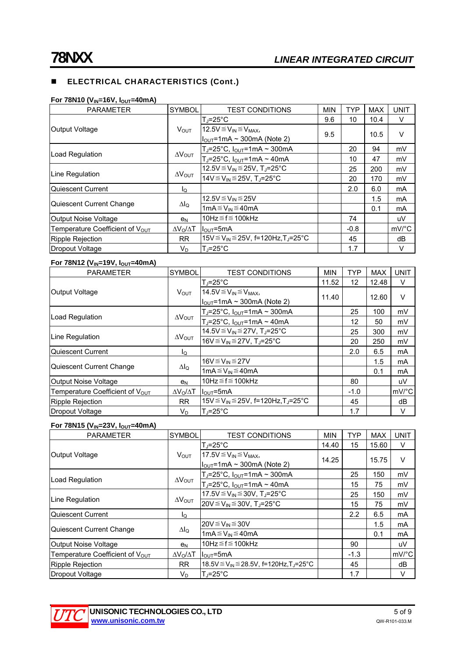# **ELECTRICAL CHARACTERISTICS (Cont.)**

#### **For 78N10 (V<sub>IN</sub>=16V, I<sub>OUT</sub>=40mA)**

| <b>PARAMETER</b>                | <b>SYMBOL</b>           | <b>TEST CONDITIONS</b>                                      | <b>MIN</b> | <b>TYP</b> | <b>MAX</b>                                          | UNIT                  |
|---------------------------------|-------------------------|-------------------------------------------------------------|------------|------------|-----------------------------------------------------|-----------------------|
| Output Voltage                  |                         | T.i=25°C                                                    | 9.6        | 10         | 10.4                                                | V                     |
|                                 | <b>VOUT</b>             | 12.5 $V \leq V_{IN} \leq V_{MAX}$                           | 9.5        |            | 10.5<br>94<br>47<br>200<br>170<br>6.0<br>1.5<br>0.1 | V                     |
|                                 |                         | $I_{\text{OUT}}$ =1mA ~ 300mA (Note 2)                      |            |            |                                                     |                       |
| Load Regulation                 |                         | $T_J = 25^{\circ}C$ , $I_{OUT} = 1mA \sim 300mA$            |            | 20         |                                                     | mV                    |
|                                 | $\Delta V_{\text{OUT}}$ | $T_J = 25^{\circ}C$ , $I_{OUT} = 1mA \sim 40mA$             |            | 10         |                                                     | mV                    |
|                                 |                         | 12.5V ≤ V <sub>IN</sub> ≤ 25V, T <sub>J</sub> =25°C         |            | 25         |                                                     | mV                    |
| Line Regulation                 | $\Delta V_{\text{OUT}}$ | 14V $\leq$ V <sub>IN</sub> $\leq$ 25V, T <sub>J</sub> =25°C |            | 20         |                                                     | mV                    |
| Quiescent Current               | lo                      |                                                             |            | 2.0        |                                                     | mA                    |
|                                 |                         | $12.5V \leq V_{IN} \leq 25V$                                |            |            |                                                     | mA                    |
| Quiescent Current Change        | $\Delta I_Q$            | 1mA $\leq$ V <sub>IN</sub> $\leq$ 40mA                      |            |            |                                                     | mA                    |
| <b>Output Noise Voltage</b>     | e <sub>N</sub>          | 10Hz $\leq$ f $\leq$ 100kHz                                 |            | 74         |                                                     | uV                    |
| Temperature Coefficient of VOUT | $\Delta V_O/\Delta T$   | $I_{\text{OUT}} = 5 \text{mA}$                              |            | $-0.8$     |                                                     | $mV$ <sup>o</sup> $C$ |
| Ripple Rejection                | RR.                     | 15V ≤ V <sub>IN</sub> ≤ 25V, f=120Hz, T <sub>J</sub> =25°C  |            | 45         |                                                     | dB                    |
| Dropout Voltage                 | $V_D$                   | lT.⊫25°C                                                    |            | 1.7        |                                                     | V                     |

# **For 78N12 (V<sub>IN</sub>=19V,**  $I_{OUT}$ **=40mA)**

| <b>PARAMETER</b>                                               | <b>SYMBOL</b>           | <b>TEST CONDITIONS</b>                                        | <b>MIN</b> | <b>TYP</b> | <b>MAX</b>                                            | <b>UNIT</b> |
|----------------------------------------------------------------|-------------------------|---------------------------------------------------------------|------------|------------|-------------------------------------------------------|-------------|
|                                                                |                         | lT.⊨25°C                                                      | 11.52      | 12         | 12.48                                                 | V           |
| Output Voltage                                                 | $V_{OUT}$               | 14.5 $V \leq V_{IN} \leq V_{MAX}$                             | 11.40      |            | 12.60<br>100<br>50<br>300<br>250<br>6.5<br>1.5<br>0.1 | V           |
|                                                                |                         | $I_{\text{OUT}}$ =1mA ~ 300mA (Note 2)                        |            |            |                                                       |             |
|                                                                | $\Delta V_{\text{OUT}}$ | $T_J$ =25°C, $I_{OUT}$ =1mA ~ 300mA                           |            | 25         |                                                       | mV          |
|                                                                |                         | $T_J = 25^{\circ}C$ , $I_{OUT} = 1mA \sim 40mA$               |            | 12         |                                                       | mV          |
|                                                                |                         | 14.5V $\leq$ V <sub>IN</sub> $\leq$ 27V, T <sub>J</sub> =25°C |            | 25         |                                                       | mV          |
|                                                                | $\Delta V_{\text{OUT}}$ | 16V ≤ V <sub>IN</sub> ≤ 27V, T <sub>J</sub> =25°C             |            | 20         |                                                       | mV          |
| Quiescent Current                                              | lQ                      |                                                               |            | 2.0        |                                                       | mA          |
|                                                                |                         | 16V≦V <sub>IN</sub> ≦27V                                      |            |            |                                                       | mA          |
| Load Regulation<br>Line Regulation<br>Quiescent Current Change | $\Delta I_{\Omega}$     | 1mA $\leq$ V <sub>IN</sub> $\leq$ 40mA                        |            |            |                                                       | mA          |
| <b>Output Noise Voltage</b>                                    | e <sub>N</sub>          | 10Hz $\leq$ f $\leq$ 100kHz                                   |            | 80         |                                                       | uV          |
| Temperature Coefficient of V <sub>OUT</sub>                    | $\Delta V_0/\Delta T$   | $IQUT=5mA$                                                    |            | $-1.0$     |                                                       | mV/°C       |
| Ripple Rejection                                               | <b>RR</b>               | 15V ≤ V <sub>IN</sub> ≤ 25V, f=120Hz, T <sub>J</sub> =25°C    |            | 45         |                                                       | dB          |
| Dropout Voltage                                                | $V_D$                   | $T_J = 25^{\circ}C$                                           |            | 1.7        |                                                       | V           |

# **For 78N15 (V<sub>IN</sub>=23V,**  $I_{\text{OUT}}$ **=40mA)**

| <b>PARAMETER</b>                            | <b>SYMBOL</b>           | <b>TEST CONDITIONS</b>                                         | <b>MIN</b> | <b>TYP</b> | <b>MAX</b>                                           | <b>UNIT</b> |
|---------------------------------------------|-------------------------|----------------------------------------------------------------|------------|------------|------------------------------------------------------|-------------|
|                                             |                         | T」=25°C                                                        | 14.40      | 15         | 15.60                                                | $\vee$      |
| Output Voltage                              | <b>V</b> OUT            | 17.5 $V \leq V_{IN} \leq V_{MAX}$                              | 14.25      |            | 15.75<br>150<br>75<br>150<br>75<br>6.5<br>1.5<br>0.1 | $\vee$      |
|                                             |                         | $I_{\text{OUT}}$ =1mA ~ 300mA (Note 2)                         |            |            |                                                      |             |
| Load Regulation                             |                         | $T_J = 25^{\circ}C$ , $I_{OUT} = 1mA \sim 300mA$               |            | 25         |                                                      | mV          |
|                                             | $\Delta V_{\text{OUT}}$ | $T_J = 25^{\circ}C$ , $I_{OUT} = 1mA \sim 40mA$                |            | 15         |                                                      | mV          |
|                                             |                         | 17.5V ≤ V <sub>IN</sub> ≤ 30V, T <sub>J</sub> =25°C            |            | 25         |                                                      | mV          |
| Line Regulation                             | $\Delta V_{\text{OUT}}$ | $20V \leq V_{IN} \leq 30V$ , T <sub>J</sub> =25°C              |            | 15         |                                                      | mV          |
| Quiescent Current                           | lo                      |                                                                |            | 2.2        |                                                      | mA          |
|                                             |                         | $20V \leq V_{IN} \leq 30V$                                     |            |            |                                                      | mA          |
| Quiescent Current Change                    | $\Delta I_Q$            | 1mA $\leq$ V <sub>IN</sub> $\leq$ 40mA                         |            |            |                                                      | mA          |
| Output Noise Voltage                        | e <sub>N</sub>          | 10Hz $\leq$ f $\leq$ 100kHz                                    |            | 90         |                                                      | uV          |
| Temperature Coefficient of V <sub>OUT</sub> | $\Delta V_O/\Delta T$   | $I_{\text{OUT}} = 5 \text{mA}$                                 |            | $-1.3$     |                                                      | mV/°C       |
| <b>Ripple Rejection</b>                     | <b>RR</b>               | 18.5V ≤ V <sub>IN</sub> ≤ 28.5V, f=120Hz, T <sub>J</sub> =25°C |            | 45         |                                                      | dB          |
| Dropout Voltage                             | V <sub>D</sub>          | $T0=25°C$                                                      |            | 1.7        |                                                      | V           |

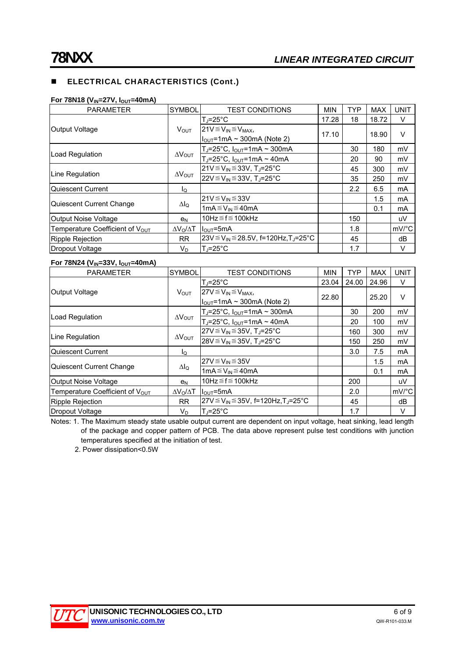# **ELECTRICAL CHARACTERISTICS (Cont.)**

#### **For 78N18 (V<sub>IN</sub>=27V, I<sub>OUT</sub>=40mA)**

| <b>PARAMETER</b>                            | <b>SYMBOL</b>           | <b>TEST CONDITIONS</b>                                    | <b>MIN</b> | <b>TYP</b> | <b>MAX</b> | <b>UNIT</b>         |
|---------------------------------------------|-------------------------|-----------------------------------------------------------|------------|------------|------------|---------------------|
| Output Voltage                              | <b>VOUT</b>             | lT.⊫25°C                                                  | 17.28      | 18         | 18.72      | V                   |
|                                             |                         | $21V \leq V_{IN} \leq V_{MAX}$                            | 17.10      |            | 18.90      | $\vee$              |
|                                             |                         | $I_{\text{OUT}}$ =1mA ~ 300mA (Note 2)                    |            |            |            |                     |
| Load Regulation                             | $\Delta V_{\text{OUT}}$ | $T_J = 25^{\circ}C$ , $I_{OUT} = 1mA \sim 300mA$          |            | 30         | 180        | mV                  |
|                                             |                         | $T_J = 25^{\circ}C$ , $I_{OUT} = 1mA \sim 40mA$           |            | 20         | 90         | mV                  |
| Line Regulation                             | $\Delta V_{\text{OUT}}$ | $21V \leq V_{IN} \leq 33V$ , T <sub>J</sub> =25°C         |            | 45         | 300        | mV                  |
|                                             |                         | $22V \le V_{IN} \le 33V$ , T <sub>J</sub> =25°C           |            | 35         | 250        | mV                  |
| Quiescent Current                           | lo                      |                                                           |            | 2.2        | 6.5        | mA                  |
| Quiescent Current Change                    | $\Delta I_Q$            | 21V≦V <sub>IN</sub> ≦33V                                  |            |            | 1.5        | mA                  |
|                                             |                         | 1m $A \leq V_{IN} \leq 40$ mA                             |            |            | 0.1        | mA                  |
| Output Noise Voltage                        | <b>e</b> <sub>N</sub>   | 10Hz $\leq$ f $\leq$ 100kHz                               |            | 150        |            | uV                  |
| Temperature Coefficient of V <sub>OUT</sub> | $\Delta V_O/\Delta T$   | ll <sub>ou⊤</sub> =5mA                                    |            | 1.8        |            | $mV$ <sup>o</sup> C |
| <b>Ripple Rejection</b>                     | RR.                     | $23V \le V_{IN} \le 28.5V$ , f=120Hz,T <sub>J</sub> =25°C |            | 45         |            | dB                  |
| Dropout Voltage                             | V <sub>D</sub>          | $T_J = 25^{\circ}C$                                       |            | 1.7        |            | V                   |

# **For 78N24 (VIN=33V, IOUT=40mA)**

| <b>PARAMETER</b>                            | <b>SYMBOL</b>           | <b>TEST CONDITIONS</b>                                   | <b>MIN</b> | <b>TYP</b> | <b>MAX</b> | <b>UNIT</b>         |
|---------------------------------------------|-------------------------|----------------------------------------------------------|------------|------------|------------|---------------------|
| Output Voltage                              | $V_{\text{OUT}}$        | $T_{J} = 25^{\circ}C$                                    | 23.04      | 24.00      | 24.96      | V                   |
|                                             |                         | $27V \leq V_{IN} \leq V_{MAX}$                           | 22.80      |            | 25.20      | $\vee$              |
|                                             |                         | $I_{\text{OUT}}$ =1mA ~ 300mA (Note 2)                   |            |            |            |                     |
| Load Regulation                             | $\Delta V_{\text{OUT}}$ | $T_J = 25^{\circ}C$ , $I_{OUT} = 1mA \sim 300mA$         |            | 30         | 200        | mV                  |
|                                             |                         | $T_J = 25^{\circ}C$ , $I_{OUT} = 1mA \sim 40mA$          |            | 20         | 100        | mV                  |
| Line Regulation                             | $\Delta V_{\text{OUT}}$ | $27V \leq V_{IN} \leq 35V$ , T <sub>J</sub> =25°C        |            | 160        | 300        | mV                  |
|                                             |                         | $28V \leq V_{IN} \leq 35V$ , T <sub>J</sub> =25°C        |            | 150        | 250        | mV                  |
| Quiescent Current                           | ΙQ                      |                                                          |            | 3.0        | 7.5        | mA                  |
| Quiescent Current Change                    | $\Delta I_Q$            | $27V \leq V_{IN} \leq 35V$                               |            |            | 1.5        | mA                  |
|                                             |                         | 1mA $\leq$ V <sub>IN</sub> $\leq$ 40mA                   |            |            | 0.1        | mA                  |
| Output Noise Voltage                        | e <sub>N</sub>          | 10Hz $\leq$ f $\leq$ 100kHz                              |            | 200        |            | uV                  |
| Temperature Coefficient of V <sub>OUT</sub> | $\Delta V_O/\Delta T$   | $I_{\text{OUT}}$ =5mA                                    |            | 2.0        |            | $mV$ <sup>o</sup> C |
| Ripple Rejection                            | <b>RR</b>               | $ 27V \le V_{1N} \le 35V$ , f=120Hz,T <sub>J</sub> =25°C |            | 45         |            | dB                  |
| Dropout Voltage                             | $V_{\text{D}}$          | lT.⊫25°C                                                 |            | 1.7        |            | V                   |

Notes: 1. The Maximum steady state usable output current are dependent on input voltage, heat sinking, lead length of the package and copper pattern of PCB. The data above represent pulse test conditions with junction temperatures specified at the initiation of test.

2. Power dissipation<0.5W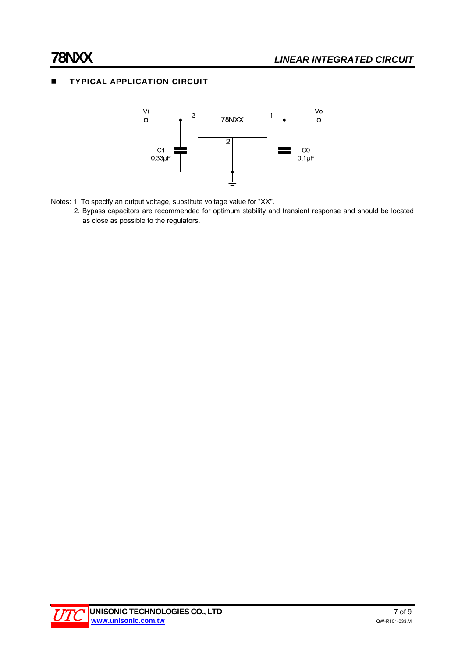# **TYPICAL APPLICATION CIRCUIT**



- Notes: 1. To specify an output voltage, substitute voltage value for "XX".
	- 2. Bypass capacitors are recommended for optimum stability and transient response and should be located as close as possible to the regulators.

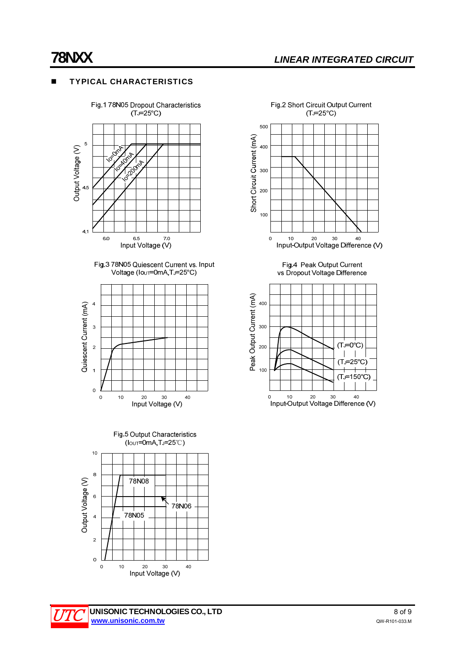# **TYPICAL CHARACTERISTICS**